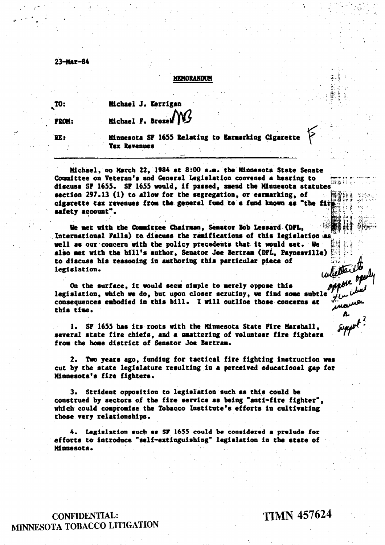23-Мат-84

## **MEMORANDUM**

 $\mathbf{m}$ 

Michael J. Kerrigan Michael F. Brozel

**FROM:** PK:

Minnesota SF 1655 Relating to Earnarking Cigarette **Tax Revenues** 

Michael, on March 22, 1984 at 8:00 a.m. the Minnesota State Senate Committee on Veteran's and General Legislation convened a hearing to discuss SF 1655. SF 1655 would, if passed, amend the Minnesota statutes section 297.13 (1) to allow for the segregation, or earmarking, of cigarette tax revenues from the general fund to a fund known as "the fir safety account".

We met with the Counittee Chairman, Senator Bob Lessard (DFL, International Falls) to discuss the ramifications of this legislation as well as our concern with the policy precedents that it would set. We also met with the bill's author, Senator Joe Bertram (DFL, Paynesville) to discuss his reasoning in authoring this particular piece of legislation.

whether they On the surface, it would seem simple to merely oppose this legislation, which we do, but upon closer scrutiny, we find some subtle consequences embodied in this bill. I will outline those concerns at this time.

1. SF 1655 has its roots with the Minnesota State Fire Marshall, several state fire chiefs, and a smattering of volunteer fire fighters from the home district of Senator Joe Bertram.

2. Two years ago, funding for tactical fire fighting instruction was cut by the state legislature resulting in a perceived educational gap for Minnesota's fire fighters.

3. Strident opposition to legislation such as this could be construed by sectors of the fire service as being "anti-fire fighter", which could compromise the Tobacco Institute's efforts in cultivating those very relationships.

4. Legislation such as SF 1655 could be considered a prelude for efforts to introduce "self-extinguishing" legislation in the state of Minnesota.

**CONFIDENTIAL:** MINNESOTA TOBACCO LITIGATION **TIMN 457624** 

manne

suppot?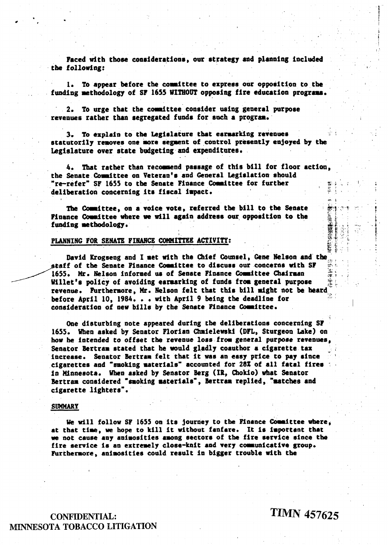Faced with those considerations, our strategy and planning included the following:

1. To appear before the committee to express our opposition to the funding methodology of SF 1655 WITHOUT opposing fire education programs.

2. To urge that the committee consider using general purpose revenues rather than segregated funds for such a program.

3. To explain to the Legislature that earmarking revenues statutorily removes one more segment of control presently enjoyed by the Legislature over state budgeting and expenditures.

4. That rather than recommend passage of this bill for floor action. the Senate Committee on Veteran's and General Legislation should "re-refer" SF 1655 to the Senate Pinance Committee for further deliberation concerning its fiscal impact.

The Committee, on a voice vote, referred the bill to the Senate Pinance Committee where we will again address our opposition to the funding methodology.

## PLANNING FOR SENATE FINANCE COMMITTEE ACTIVITY:

David Krogseng and I met with the Chief Counsel, Gene Nelson and the staff of the Senate Finance Committee to discuss our concerns with SF 1655. Mr. Nelson informed us of Senate Finance Committee Chairman Willet's policy of avoiding earmarking of funds from general purpose 灌。 revenue. Furthermore, Mr. Nelson felt that this bill might not be heard before April 10, 1984. . . with April 9 being the deadline for consideration of new bills by the Senate Finance Committee.

One disturbing note appeared during the deliberations concerning SF 1655. When asked by Senator Florian Chmielewski (DFL, Sturgeon Lake) on how he intended to offset the revenue loss from general purpose revenues. Senator Bertram stated that he would gladly coauthor a cigarette tax increase. Senator Bertram felt that it was an easy price to pay since cigarettes and "smoking materials" accounted for 28% of all fatal fires in Minnesota. When asked by Senator Berg (IR, Chokio) what Senator Bertram considered "smoking materials", Bertram replied, "matches and cigarette lighters".

## **SUMMARY**

We will follow SF 1655 on its journey to the Pinance Committee where, at that time, we hope to kill it without fanfare. It is important that we not cause any animosities among sectors of the fire service since the fire service is an extremely close-knit and very communicative group. Furthermore, animosities could result in bigger trouble with the

**CONFIDENTIAL:** MINNESOTA TOBACCO LITIGATION **TIMN 457625** 

使い

雷摩斯